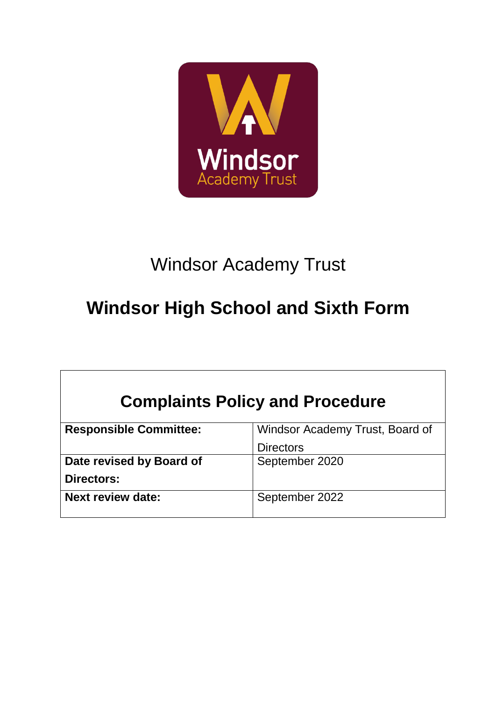

# Windsor Academy Trust

# **Windsor High School and Sixth Form**

| <b>Complaints Policy and Procedure</b> |                                 |  |  |  |  |  |
|----------------------------------------|---------------------------------|--|--|--|--|--|
| <b>Responsible Committee:</b>          | Windsor Academy Trust, Board of |  |  |  |  |  |
|                                        | <b>Directors</b>                |  |  |  |  |  |
| Date revised by Board of               | September 2020                  |  |  |  |  |  |
| Directors:                             |                                 |  |  |  |  |  |
| <b>Next review date:</b>               | September 2022                  |  |  |  |  |  |
|                                        |                                 |  |  |  |  |  |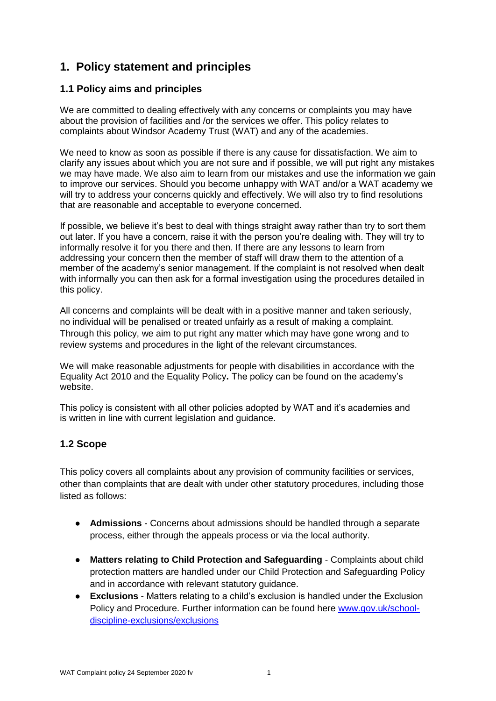### **1. Policy statement and principles**

#### **1.1 Policy aims and principles**

We are committed to dealing effectively with any concerns or complaints you may have about the provision of facilities and /or the services we offer. This policy relates to complaints about Windsor Academy Trust (WAT) and any of the academies.

We need to know as soon as possible if there is any cause for dissatisfaction. We aim to clarify any issues about which you are not sure and if possible, we will put right any mistakes we may have made. We also aim to learn from our mistakes and use the information we gain to improve our services. Should you become unhappy with WAT and/or a WAT academy we will try to address your concerns quickly and effectively. We will also try to find resolutions that are reasonable and acceptable to everyone concerned.

If possible, we believe it's best to deal with things straight away rather than try to sort them out later. If you have a concern, raise it with the person you're dealing with. They will try to informally resolve it for you there and then. If there are any lessons to learn from addressing your concern then the member of staff will draw them to the attention of a member of the academy's senior management. If the complaint is not resolved when dealt with informally you can then ask for a formal investigation using the procedures detailed in this policy.

All concerns and complaints will be dealt with in a positive manner and taken seriously, no individual will be penalised or treated unfairly as a result of making a complaint. Through this policy, we aim to put right any matter which may have gone wrong and to review systems and procedures in the light of the relevant circumstances.

We will make reasonable adjustments for people with disabilities in accordance with the Equality Act 2010 and the Equality Policy**.** The policy can be found on the academy's website.

This policy is consistent with all other policies adopted by WAT and it's academies and is written in line with current legislation and guidance.

#### **1.2 Scope**

This policy covers all complaints about any provision of community facilities or services, other than complaints that are dealt with under other statutory procedures, including those listed as follows:

- **Admissions**  Concerns about admissions should be handled through a separate process, either through the appeals process or via the local authority.
- **Matters relating to Child Protection and Safeguarding** Complaints about child protection matters are handled under our Child Protection and Safeguarding Policy and in accordance with relevant statutory guidance.
- **Exclusions** Matters relating to a child's exclusion is handled under the Exclusion Policy and Procedure. Further information can be found here [www.gov.uk/school](http://www.gov.uk/school-discipline-exclusions/exclusions)[discipline-exclusions/exclusions](http://www.gov.uk/school-discipline-exclusions/exclusions)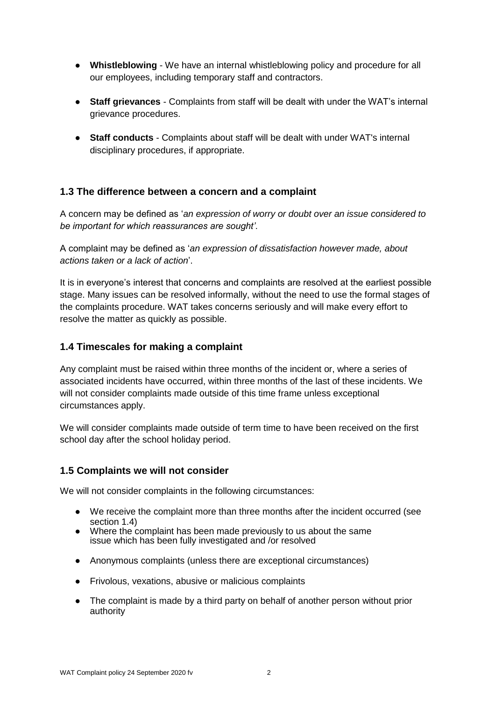- **Whistleblowing** We have an internal whistleblowing policy and procedure for all our employees, including temporary staff and contractors.
- **Staff grievances**  Complaints from staff will be dealt with under the WAT's internal grievance procedures.
- **Staff conducts** Complaints about staff will be dealt with under WAT's internal disciplinary procedures, if appropriate.

#### **1.3 The difference between a concern and a complaint**

A concern may be defined as '*an expression of worry or doubt over an issue considered to be important for which reassurances are sought'*.

A complaint may be defined as '*an expression of dissatisfaction however made, about actions taken or a lack of action*'.

It is in everyone's interest that concerns and complaints are resolved at the earliest possible stage. Many issues can be resolved informally, without the need to use the formal stages of the complaints procedure. WAT takes concerns seriously and will make every effort to resolve the matter as quickly as possible.

#### **1.4 Timescales for making a complaint**

Any complaint must be raised within three months of the incident or, where a series of associated incidents have occurred, within three months of the last of these incidents. We will not consider complaints made outside of this time frame unless exceptional circumstances apply.

We will consider complaints made outside of term time to have been received on the first school day after the school holiday period.

#### **1.5 Complaints we will not consider**

We will not consider complaints in the following circumstances:

- We receive the complaint more than three months after the incident occurred (see section 1.4)
- Where the complaint has been made previously to us about the same issue which has been fully investigated and /or resolved
- Anonymous complaints (unless there are exceptional circumstances)
- Frivolous, vexations, abusive or malicious complaints
- The complaint is made by a third party on behalf of another person without prior authority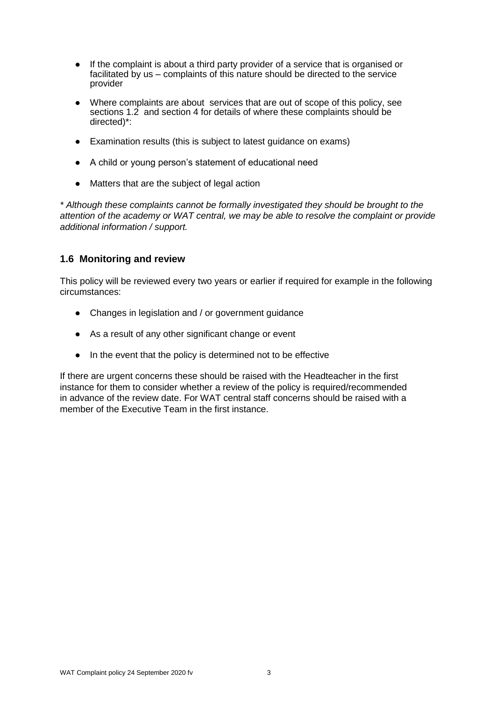- If the complaint is about a third party provider of a service that is organised or facilitated by us – complaints of this nature should be directed to the service provider
- Where complaints are about services that are out of scope of this policy, see sections 1.2 and section 4 for details of where these complaints should be directed)\*:
- Examination results (this is subject to latest guidance on exams)
- A child or young person's statement of educational need
- Matters that are the subject of legal action

*\* Although these complaints cannot be formally investigated they should be brought to the attention of the academy or WAT central, we may be able to resolve the complaint or provide additional information / support.*

#### **1.6 Monitoring and review**

This policy will be reviewed every two years or earlier if required for example in the following circumstances:

- Changes in legislation and / or government guidance
- As a result of any other significant change or event
- In the event that the policy is determined not to be effective

If there are urgent concerns these should be raised with the Headteacher in the first instance for them to consider whether a review of the policy is required/recommended in advance of the review date. For WAT central staff concerns should be raised with a member of the Executive Team in the first instance.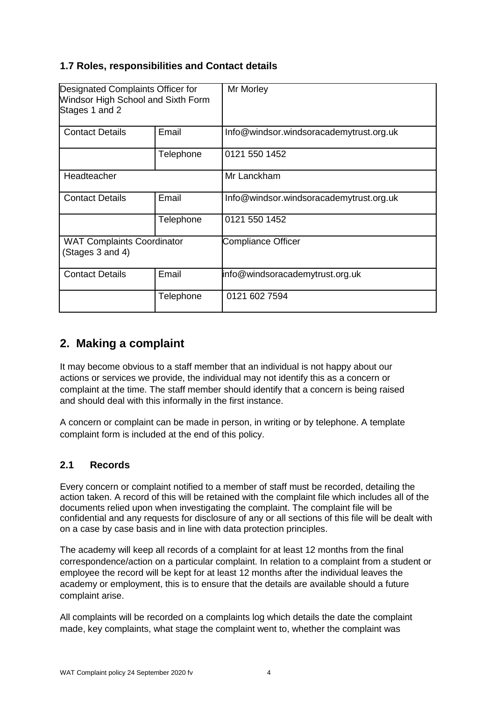#### **1.7 Roles, responsibilities and Contact details**

| Designated Complaints Officer for<br>Windsor High School and Sixth Form<br>Stages 1 and 2 |           | Mr Morley                               |  |  |
|-------------------------------------------------------------------------------------------|-----------|-----------------------------------------|--|--|
| <b>Contact Details</b>                                                                    | Email     | Info@windsor.windsoracademytrust.org.uk |  |  |
|                                                                                           | Telephone | 0121 550 1452                           |  |  |
| Headteacher                                                                               |           | Mr Lanckham                             |  |  |
| <b>Contact Details</b>                                                                    | Email     | Info@windsor.windsoracademytrust.org.uk |  |  |
|                                                                                           | Telephone | 0121 550 1452                           |  |  |
| <b>WAT Complaints Coordinator</b><br>(Stages 3 and 4)                                     |           | <b>Compliance Officer</b>               |  |  |
| <b>Contact Details</b>                                                                    | Email     | info@windsoracademytrust.org.uk         |  |  |
|                                                                                           | Telephone | 0121 602 7594                           |  |  |

### **2. Making a complaint**

It may become obvious to a staff member that an individual is not happy about our actions or services we provide, the individual may not identify this as a concern or complaint at the time. The staff member should identify that a concern is being raised and should deal with this informally in the first instance.

A concern or complaint can be made in person, in writing or by telephone. A template complaint form is included at the end of this policy.

#### **2.1 Records**

Every concern or complaint notified to a member of staff must be recorded, detailing the action taken. A record of this will be retained with the complaint file which includes all of the documents relied upon when investigating the complaint. The complaint file will be confidential and any requests for disclosure of any or all sections of this file will be dealt with on a case by case basis and in line with data protection principles.

The academy will keep all records of a complaint for at least 12 months from the final correspondence/action on a particular complaint. In relation to a complaint from a student or employee the record will be kept for at least 12 months after the individual leaves the academy or employment, this is to ensure that the details are available should a future complaint arise.

All complaints will be recorded on a complaints log which details the date the complaint made, key complaints, what stage the complaint went to, whether the complaint was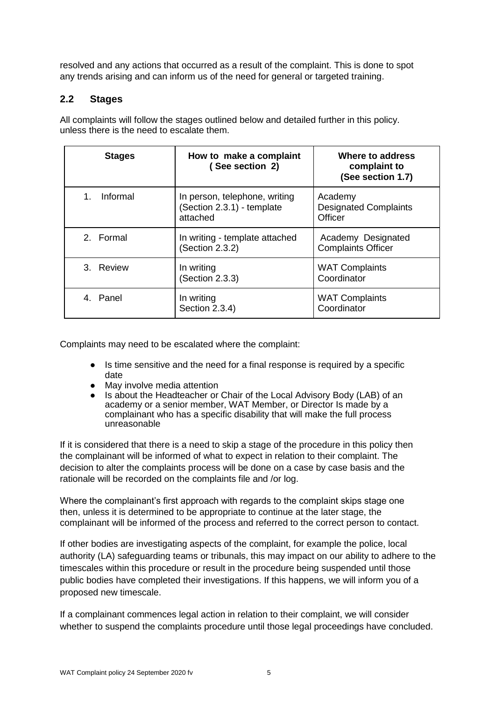resolved and any actions that occurred as a result of the complaint. This is done to spot any trends arising and can inform us of the need for general or targeted training.

#### **2.2 Stages**

All complaints will follow the stages outlined below and detailed further in this policy. unless there is the need to escalate them.

| <b>Stages</b>       | Where to address<br>How to make a complaint<br>(See section 2)<br>complaint to<br>(See section 1.7) |                                                    |
|---------------------|-----------------------------------------------------------------------------------------------------|----------------------------------------------------|
| Informal<br>$1_{-}$ | In person, telephone, writing<br>(Section 2.3.1) - template<br>attached                             | Academy<br><b>Designated Complaints</b><br>Officer |
| 2. Formal           | In writing - template attached<br>(Section 2.3.2)                                                   | Academy Designated<br><b>Complaints Officer</b>    |
| 3. Review           | In writing<br>(Section 2.3.3)                                                                       | <b>WAT Complaints</b><br>Coordinator               |
| 4. Panel            | In writing<br>Section 2.3.4)                                                                        | <b>WAT Complaints</b><br>Coordinator               |

Complaints may need to be escalated where the complaint:

- Is time sensitive and the need for a final response is required by a specific date
- May involve media attention
- Is about the Headteacher or Chair of the Local Advisory Body (LAB) of an academy or a senior member, WAT Member, or Director Is made by a complainant who has a specific disability that will make the full process unreasonable

If it is considered that there is a need to skip a stage of the procedure in this policy then the complainant will be informed of what to expect in relation to their complaint. The decision to alter the complaints process will be done on a case by case basis and the rationale will be recorded on the complaints file and /or log.

Where the complainant's first approach with regards to the complaint skips stage one then, unless it is determined to be appropriate to continue at the later stage, the complainant will be informed of the process and referred to the correct person to contact.

If other bodies are investigating aspects of the complaint, for example the police, local authority (LA) safeguarding teams or tribunals, this may impact on our ability to adhere to the timescales within this procedure or result in the procedure being suspended until those public bodies have completed their investigations. If this happens, we will inform you of a proposed new timescale.

If a complainant commences legal action in relation to their complaint, we will consider whether to suspend the complaints procedure until those legal proceedings have concluded.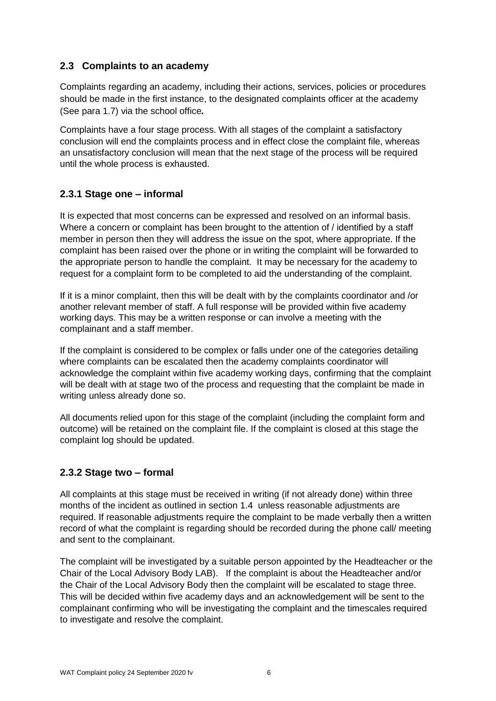#### **2.3 Complaints to an academy**

Complaints regarding an academy, including their actions, services, policies or procedures should be made in the first instance, to the designated complaints officer at the academy (See para 1.7) via the school office*.*

Complaints have a four stage process. With all stages of the complaint a satisfactory conclusion will end the complaints process and in effect close the complaint file, whereas an unsatisfactory conclusion will mean that the next stage of the process will be required until the whole process is exhausted.

#### **2.3.1 Stage one – informal**

It is expected that most concerns can be expressed and resolved on an informal basis. Where a concern or complaint has been brought to the attention of / identified by a staff member in person then they will address the issue on the spot, where appropriate. If the complaint has been raised over the phone or in writing the complaint will be forwarded to the appropriate person to handle the complaint. It may be necessary for the academy to request for a complaint form to be completed to aid the understanding of the complaint.

If it is a minor complaint, then this will be dealt with by the complaints coordinator and /or another relevant member of staff. A full response will be provided within five academy working days. This may be a written response or can involve a meeting with the complainant and a staff member.

If the complaint is considered to be complex or falls under one of the categories detailing where complaints can be escalated then the academy complaints coordinator will acknowledge the complaint within five academy working days, confirming that the complaint will be dealt with at stage two of the process and requesting that the complaint be made in writing unless already done so.

All documents relied upon for this stage of the complaint (including the complaint form and outcome) will be retained on the complaint file. If the complaint is closed at this stage the complaint log should be updated.

#### **2.3.2 Stage two – formal**

All complaints at this stage must be received in writing (if not already done) within three months of the incident as outlined in section 1.4 unless reasonable adjustments are required. If reasonable adjustments require the complaint to be made verbally then a written record of what the complaint is regarding should be recorded during the phone call/ meeting and sent to the complainant.

The complaint will be investigated by a suitable person appointed by the Headteacher or the Chair of the Local Advisory Body LAB). If the complaint is about the Headteacher and/or the Chair of the Local Advisory Body then the complaint will be escalated to stage three. This will be decided within five academy days and an acknowledgement will be sent to the complainant confirming who will be investigating the complaint and the timescales required to investigate and resolve the complaint.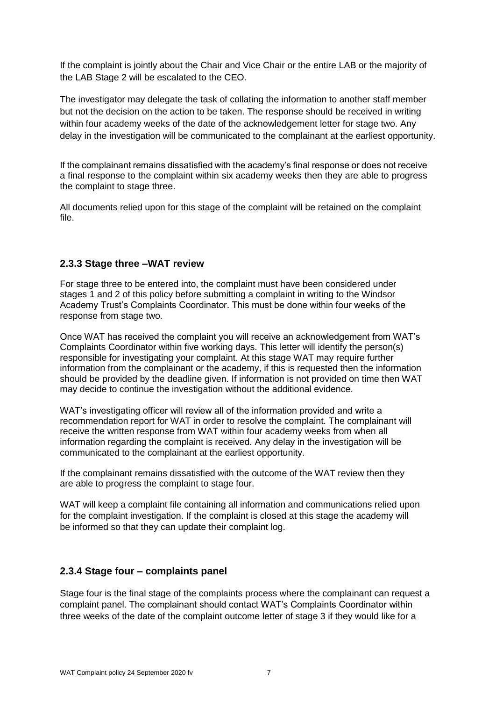If the complaint is jointly about the Chair and Vice Chair or the entire LAB or the majority of the LAB Stage 2 will be escalated to the CEO.

The investigator may delegate the task of collating the information to another staff member but not the decision on the action to be taken. The response should be received in writing within four academy weeks of the date of the acknowledgement letter for stage two. Any delay in the investigation will be communicated to the complainant at the earliest opportunity.

If the complainant remains dissatisfied with the academy's final response or does not receive a final response to the complaint within six academy weeks then they are able to progress the complaint to stage three.

All documents relied upon for this stage of the complaint will be retained on the complaint file.

#### **2.3.3 Stage three –WAT review**

For stage three to be entered into, the complaint must have been considered under stages 1 and 2 of this policy before submitting a complaint in writing to the Windsor Academy Trust's Complaints Coordinator. This must be done within four weeks of the response from stage two.

Once WAT has received the complaint you will receive an acknowledgement from WAT's Complaints Coordinator within five working days. This letter will identify the person(s) responsible for investigating your complaint. At this stage WAT may require further information from the complainant or the academy, if this is requested then the information should be provided by the deadline given. If information is not provided on time then WAT may decide to continue the investigation without the additional evidence.

WAT's investigating officer will review all of the information provided and write a recommendation report for WAT in order to resolve the complaint. The complainant will receive the written response from WAT within four academy weeks from when all information regarding the complaint is received. Any delay in the investigation will be communicated to the complainant at the earliest opportunity.

If the complainant remains dissatisfied with the outcome of the WAT review then they are able to progress the complaint to stage four.

WAT will keep a complaint file containing all information and communications relied upon for the complaint investigation. If the complaint is closed at this stage the academy will be informed so that they can update their complaint log.

#### **2.3.4 Stage four – complaints panel**

Stage four is the final stage of the complaints process where the complainant can request a complaint panel. The complainant should contact WAT's Complaints Coordinator within three weeks of the date of the complaint outcome letter of stage 3 if they would like for a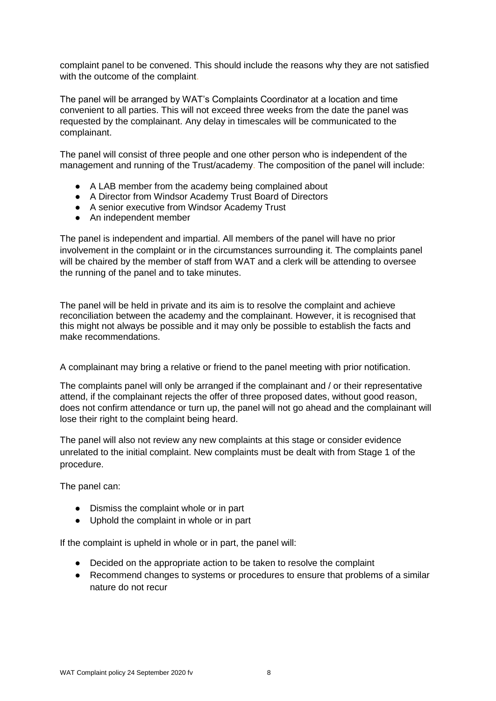complaint panel to be convened. This should include the reasons why they are not satisfied with the outcome of the complaint.

The panel will be arranged by WAT's Complaints Coordinator at a location and time convenient to all parties. This will not exceed three weeks from the date the panel was requested by the complainant. Any delay in timescales will be communicated to the complainant.

The panel will consist of three people and one other person who is independent of the management and running of the Trust/academy. The composition of the panel will include:

- A LAB member from the academy being complained about
- A Director from Windsor Academy Trust Board of Directors
- A senior executive from Windsor Academy Trust
- An independent member

The panel is independent and impartial. All members of the panel will have no prior involvement in the complaint or in the circumstances surrounding it. The complaints panel will be chaired by the member of staff from WAT and a clerk will be attending to oversee the running of the panel and to take minutes.

The panel will be held in private and its aim is to resolve the complaint and achieve reconciliation between the academy and the complainant. However, it is recognised that this might not always be possible and it may only be possible to establish the facts and make recommendations.

A complainant may bring a relative or friend to the panel meeting with prior notification.

The complaints panel will only be arranged if the complainant and / or their representative attend, if the complainant rejects the offer of three proposed dates, without good reason, does not confirm attendance or turn up, the panel will not go ahead and the complainant will lose their right to the complaint being heard.

The panel will also not review any new complaints at this stage or consider evidence unrelated to the initial complaint. New complaints must be dealt with from Stage 1 of the procedure.

The panel can:

- Dismiss the complaint whole or in part
- Uphold the complaint in whole or in part

If the complaint is upheld in whole or in part, the panel will:

- Decided on the appropriate action to be taken to resolve the complaint
- Recommend changes to systems or procedures to ensure that problems of a similar nature do not recur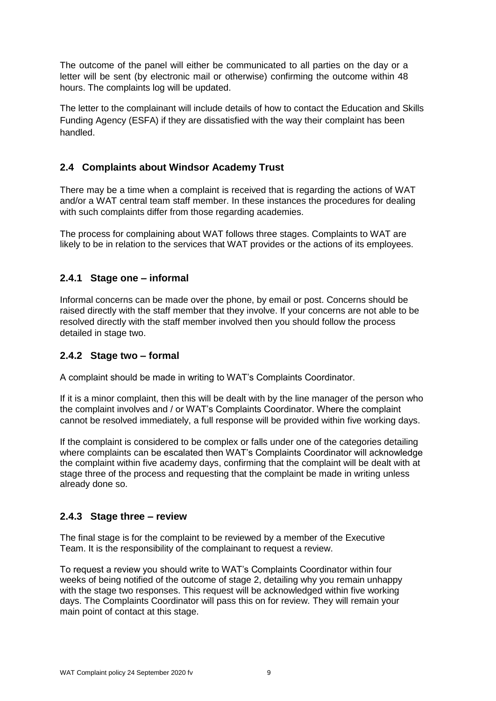The outcome of the panel will either be communicated to all parties on the day or a letter will be sent (by electronic mail or otherwise) confirming the outcome within 48 hours. The complaints log will be updated.

The letter to the complainant will include details of how to contact the Education and Skills Funding Agency (ESFA) if they are dissatisfied with the way their complaint has been handled.

#### **2.4 Complaints about Windsor Academy Trust**

There may be a time when a complaint is received that is regarding the actions of WAT and/or a WAT central team staff member. In these instances the procedures for dealing with such complaints differ from those regarding academies.

The process for complaining about WAT follows three stages. Complaints to WAT are likely to be in relation to the services that WAT provides or the actions of its employees.

#### **2.4.1 Stage one – informal**

Informal concerns can be made over the phone, by email or post. Concerns should be raised directly with the staff member that they involve. If your concerns are not able to be resolved directly with the staff member involved then you should follow the process detailed in stage two.

#### **2.4.2 Stage two – formal**

A complaint should be made in writing to WAT's Complaints Coordinator.

If it is a minor complaint, then this will be dealt with by the line manager of the person who the complaint involves and / or WAT's Complaints Coordinator. Where the complaint cannot be resolved immediately, a full response will be provided within five working days.

If the complaint is considered to be complex or falls under one of the categories detailing where complaints can be escalated then WAT's Complaints Coordinator will acknowledge the complaint within five academy days, confirming that the complaint will be dealt with at stage three of the process and requesting that the complaint be made in writing unless already done so.

#### **2.4.3 Stage three – review**

The final stage is for the complaint to be reviewed by a member of the Executive Team. It is the responsibility of the complainant to request a review.

To request a review you should write to WAT's Complaints Coordinator within four weeks of being notified of the outcome of stage 2, detailing why you remain unhappy with the stage two responses. This request will be acknowledged within five working days. The Complaints Coordinator will pass this on for review. They will remain your main point of contact at this stage.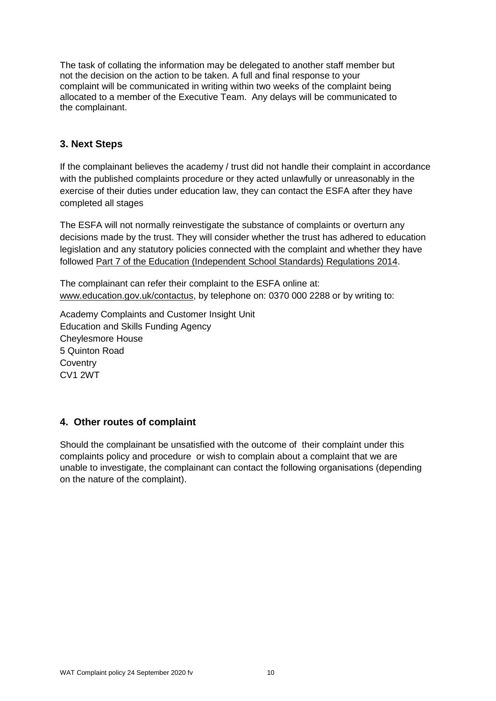The task of collating the information may be delegated to another staff member but not the decision on the action to be taken. A full and final response to your complaint will be communicated in writing within two weeks of the complaint being allocated to a member of the Executive Team. Any delays will be communicated to the complainant.

#### **3. Next Steps**

If the complainant believes the academy / trust did not handle their complaint in accordance with the published complaints procedure or they acted unlawfully or unreasonably in the exercise of their duties under education law, they can contact the ESFA after they have completed all stages

The ESFA will not normally reinvestigate the substance of complaints or overturn any decisions made by the trust. They will consider whether the trust has adhered to education legislation and any statutory policies connected with the complaint and whether they have followed [Part 7 of the Education \(Independent School Standards\) Regulations 2014.](http://www.legislation.gov.uk/uksi/2010/1997/schedule/1/made)

The complainant can refer their complaint to the ESFA online at[:](http://www.education.gov.uk/contactus) [www.education.gov.uk/contactus,](http://www.education.gov.uk/contactus) by telephone on: 0370 000 2288 or by writing to:

Academy Complaints and Customer Insight Unit Education and Skills Funding Agency Cheylesmore House 5 Quinton Road **Coventry** CV1 2WT

#### **4. Other routes of complaint**

Should the complainant be unsatisfied with the outcome of their complaint under this complaints policy and procedure or wish to complain about a complaint that we are unable to investigate, the complainant can contact the following organisations (depending on the nature of the complaint).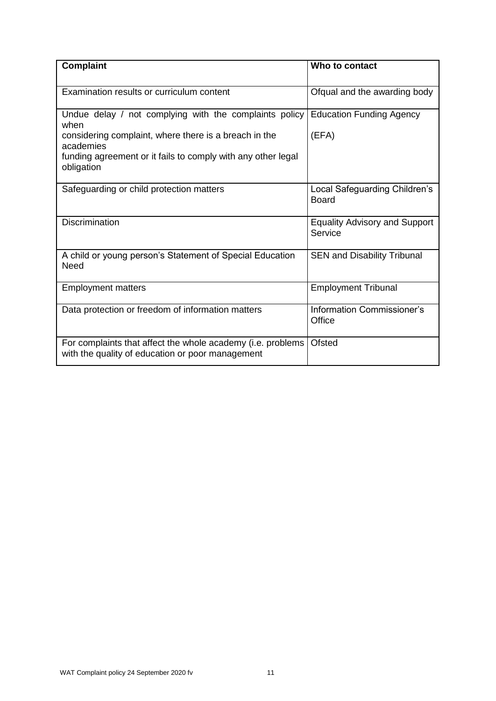| <b>Complaint</b>                                                                                                                                                                                                   | Who to contact                                  |  |
|--------------------------------------------------------------------------------------------------------------------------------------------------------------------------------------------------------------------|-------------------------------------------------|--|
| Examination results or curriculum content                                                                                                                                                                          | Ofqual and the awarding body                    |  |
| Undue delay / not complying with the complaints policy<br>when<br>considering complaint, where there is a breach in the<br>academies<br>funding agreement or it fails to comply with any other legal<br>obligation | <b>Education Funding Agency</b><br>(EFA)        |  |
| Safeguarding or child protection matters                                                                                                                                                                           | Local Safeguarding Children's<br><b>Board</b>   |  |
| <b>Discrimination</b>                                                                                                                                                                                              | <b>Equality Advisory and Support</b><br>Service |  |
| A child or young person's Statement of Special Education<br><b>Need</b>                                                                                                                                            | <b>SEN and Disability Tribunal</b>              |  |
| <b>Employment matters</b>                                                                                                                                                                                          | <b>Employment Tribunal</b>                      |  |
| Data protection or freedom of information matters                                                                                                                                                                  | Information Commissioner's<br>Office            |  |
| For complaints that affect the whole academy (i.e. problems<br>with the quality of education or poor management                                                                                                    | <b>Ofsted</b>                                   |  |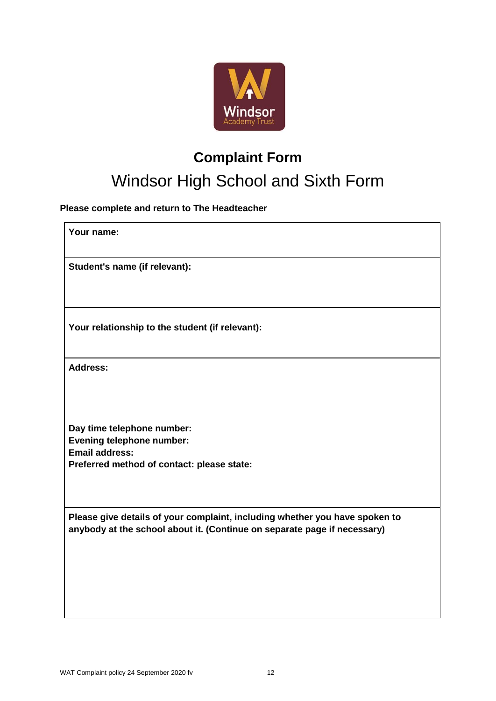

### **Complaint Form**

## Windsor High School and Sixth Form

**Please complete and return to The Headteacher**

| Your name:                                                                                                                                              |
|---------------------------------------------------------------------------------------------------------------------------------------------------------|
| Student's name (if relevant):                                                                                                                           |
| Your relationship to the student (if relevant):                                                                                                         |
| <b>Address:</b>                                                                                                                                         |
| Day time telephone number:<br><b>Evening telephone number:</b><br><b>Email address:</b><br>Preferred method of contact: please state:                   |
| Please give details of your complaint, including whether you have spoken to<br>anybody at the school about it. (Continue on separate page if necessary) |